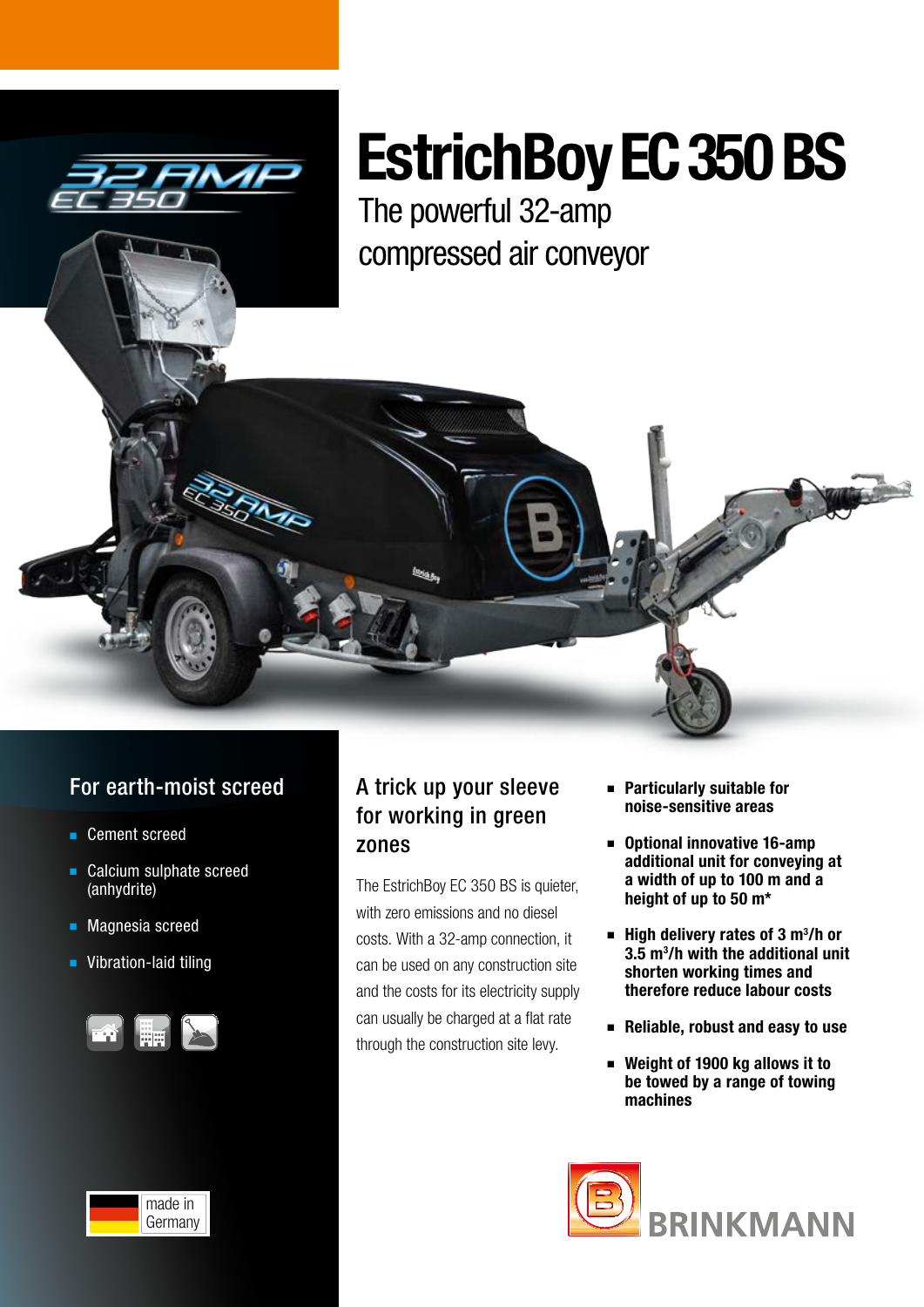

# EstrichBoy EC 350 BS

The powerful 32-amp compressed air conveyor



- Cement screed
- Calcium sulphate screed (anhydrite)
- Magnesia screed
- Vibration-laid tiling



# A trick up your sleeve for working in green zones

The EstrichBoy EC 350 BS is quieter, with zero emissions and no diesel costs. With a 32-amp connection, it can be used on any construction site and the costs for its electricity supply can usually be charged at a flat rate through the construction site levy.

- Particularly suitable for noise-sensitive areas
- Optional innovative 16-amp additional unit for conveying at a width of up to 100 m and a height of up to 50 m\*
- $\blacksquare$  High delivery rates of 3 m<sup>3</sup>/h or 3.5 m3 /h with the additional unit shorten working times and therefore reduce labour costs
- Reliable, robust and easy to use
- Weight of 1900 kg allows it to be towed by a range of towing machines